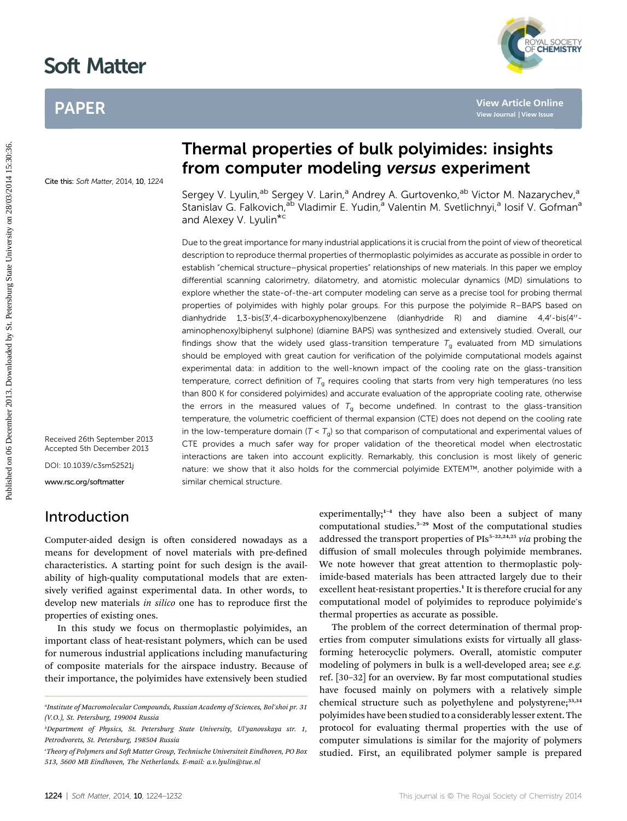# Soft Matter

# PAPER



Cite this: Soft Matter, 2014, 10, 1224

Sergey V. Lyulin,<sup>ab</sup> Sergey V. Larin,<sup>a</sup> Andrey A. Gurtovenko,<sup>ab</sup> Victor M. Nazarychev,<sup>a</sup> Stanislav G. Falkovich,<sup>ab</sup> Vladimir E. Yudin,<sup>a</sup> Valentin M. Svetlichnyi,<sup>a</sup> Iosif V. Gofman<sup>a</sup> and Alexey V. Lyulin<sup>\*c</sup>

Thermal properties of bulk polyimides: insights

from computer modeling versus experiment

Due to the great importance for many industrial applications it is crucial from the point of view of theoretical description to reproduce thermal properties of thermoplastic polyimides as accurate as possible in order to establish "chemical structure–physical properties" relationships of new materials. In this paper we employ differential scanning calorimetry, dilatometry, and atomistic molecular dynamics (MD) simulations to explore whether the state-of-the-art computer modeling can serve as a precise tool for probing thermal properties of polyimides with highly polar groups. For this purpose the polyimide R–BAPS based on dianhydride 1,3-bis(3',4-dicarboxyphenoxy)benzene (dianhydride R) and diamine 4,4'-bis(4''aminophenoxy)biphenyl sulphone) (diamine BAPS) was synthesized and extensively studied. Overall, our findings show that the widely used glass-transition temperature  $T_q$  evaluated from MD simulations should be employed with great caution for verification of the polyimide computational models against experimental data: in addition to the well-known impact of the cooling rate on the glass-transition temperature, correct definition of  $T_q$  requires cooling that starts from very high temperatures (no less than 800 K for considered polyimides) and accurate evaluation of the appropriate cooling rate, otherwise the errors in the measured values of  $T_q$  become undefined. In contrast to the glass-transition temperature, the volumetric coefficient of thermal expansion (CTE) does not depend on the cooling rate in the low-temperature domain ( $T < T<sub>g</sub>$ ) so that comparison of computational and experimental values of CTE provides a much safer way for proper validation of the theoretical model when electrostatic interactions are taken into account explicitly. Remarkably, this conclusion is most likely of generic nature: we show that it also holds for the commercial polyimide EXTEM™, another polyimide with a similar chemical structure. PAPER<br> **Published on 1990**<br> **Published on 2013. Downloaded by Street State University of the State University of the State University of the State University of the State University of the State University of the State Uni** 

Received 26th September 2013 Accepted 5th December 2013

DOI: 10.1039/c3sm52521j

www.rsc.org/softmatter

## Introduction

Computer-aided design is often considered nowadays as a means for development of novel materials with pre-defined characteristics. A starting point for such design is the availability of high-quality computational models that are extensively verified against experimental data. In other words, to develop new materials in silico one has to reproduce first the properties of existing ones.

In this study we focus on thermoplastic polyimides, an important class of heat-resistant polymers, which can be used for numerous industrial applications including manufacturing of composite materials for the airspace industry. Because of their importance, the polyimides have extensively been studied

experimentally;<sup>1-4</sup> they have also been a subject of many computational studies.<sup>5</sup>–<sup>29</sup> Most of the computational studies addressed the transport properties of  $PIs<sup>5-22,24,25</sup> via probing the$ diffusion of small molecules through polyimide membranes. We note however that great attention to thermoplastic polyimide-based materials has been attracted largely due to their excellent heat-resistant properties.<sup>1</sup> It is therefore crucial for any computational model of polyimides to reproduce polyimide's thermal properties as accurate as possible.

The problem of the correct determination of thermal properties from computer simulations exists for virtually all glassforming heterocyclic polymers. Overall, atomistic computer modeling of polymers in bulk is a well-developed area; see *e.g.* ref. [30–32] for an overview. By far most computational studies have focused mainly on polymers with a relatively simple chemical structure such as polyethylene and polystyrene;<sup>33,34</sup> polyimides have been studied to a considerably lesser extent. The protocol for evaluating thermal properties with the use of computer simulations is similar for the majority of polymers studied. First, an equilibrated polymer sample is prepared

a Institute of Macromolecular Compounds, Russian Academy of Sciences, Bol'shoi pr. 31 (V.O.), St. Petersburg, 199004 Russia

b Department of Physics, St. Petersburg State University, Ul'yanovskaya str. 1, Petrodvorets, St. Petersburg, 198504 Russia

<sup>&</sup>quot;Theory of Polymers and Soft Matter Group, Technische Universiteit Eindhoven, PO Box 513, 5600 MB Eindhoven, The Netherlands. E-mail: a.v.lyulin@tue.nl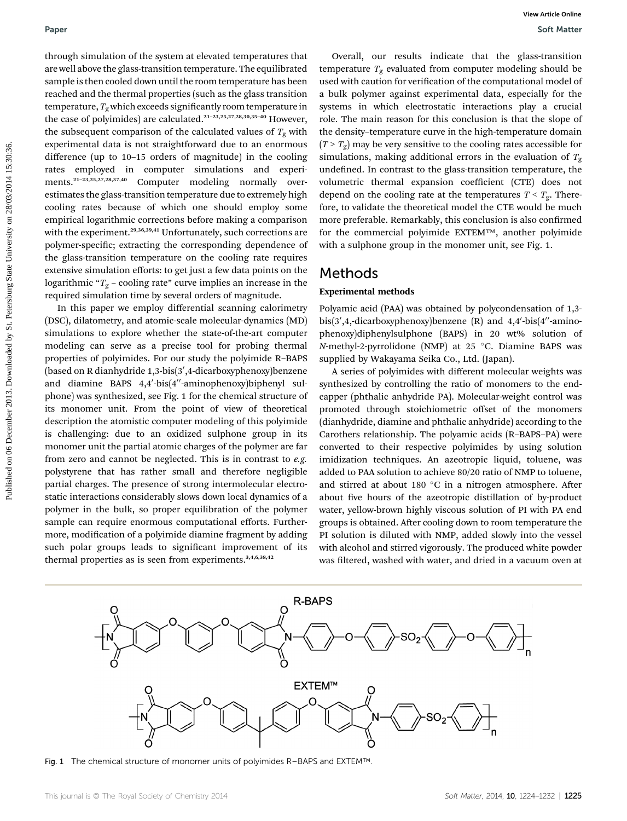through simulation of the system at elevated temperatures that are well above the glass-transition temperature. The equilibrated sample is then cooled down until the room temperature has been reached and the thermal properties (such as the glass transition temperature,  $T_{\rm g}$  which exceeds significantly room temperature in the case of polyimides) are calculated.<sup>21-23,25,27,28,30,35-40</sup> However, the subsequent comparison of the calculated values of  $T_g$  with experimental data is not straightforward due to an enormous difference (up to 10–15 orders of magnitude) in the cooling rates employed in computer simulations and experiments.<sup>21</sup>–23,25,27,28,37,40 Computer modeling normally overestimates the glass-transition temperature due to extremely high cooling rates because of which one should employ some empirical logarithmic corrections before making a comparison with the experiment.<sup>29,36,39,41</sup> Unfortunately, such corrections are polymer-specific; extracting the corresponding dependence of the glass-transition temperature on the cooling rate requires extensive simulation efforts: to get just a few data points on the logarithmic " $T_g$  – cooling rate" curve implies an increase in the required simulation time by several orders of magnitude. Puser<br>
Procedure and the system at element emperature that<br>
the system at element in the system at element in the community of the system at the system at the system of the system at the system of the system at the system

In this paper we employ differential scanning calorimetry (DSC), dilatometry, and atomic-scale molecular-dynamics (MD) simulations to explore whether the state-of-the-art computer modeling can serve as a precise tool for probing thermal properties of polyimides. For our study the polyimide R–BAPS (based on R dianhydride 1,3-bis(3′,4-dicarboxyphenoxy)benzene and diamine BAPS 4,4′-bis(4′′-aminophenoxy)biphenyl sulphone) was synthesized, see Fig. 1 for the chemical structure of its monomer unit. From the point of view of theoretical description the atomistic computer modeling of this polyimide is challenging: due to an oxidized sulphone group in its monomer unit the partial atomic charges of the polymer are far from zero and cannot be neglected. This is in contrast to e.g. polystyrene that has rather small and therefore negligible partial charges. The presence of strong intermolecular electrostatic interactions considerably slows down local dynamics of a polymer in the bulk, so proper equilibration of the polymer sample can require enormous computational efforts. Furthermore, modification of a polyimide diamine fragment by adding such polar groups leads to significant improvement of its thermal properties as is seen from experiments.<sup>3,4,6,38,42</sup>

Overall, our results indicate that the glass-transition temperature  $T_g$  evaluated from computer modeling should be used with caution for verification of the computational model of a bulk polymer against experimental data, especially for the systems in which electrostatic interactions play a crucial role. The main reason for this conclusion is that the slope of the density–temperature curve in the high-temperature domain  $(T > T<sub>o</sub>)$  may be very sensitive to the cooling rates accessible for simulations, making additional errors in the evaluation of  $T_g$ undefined. In contrast to the glass-transition temperature, the volumetric thermal expansion coefficient (CTE) does not depend on the cooling rate at the temperatures  $T < T_{g}$ . Therefore, to validate the theoretical model the CTE would be much more preferable. Remarkably, this conclusion is also confirmed for the commercial polyimide EXTEM™, another polyimide with a sulphone group in the monomer unit, see Fig. 1.

## Methods

## Experimental methods

Polyamic acid (PAA) was obtained by polycondensation of 1,3  $bis(3', 4, -dicarboxyphenoxy)benzene (R) and 4,4'-bis(4''-aminoc)$ phenoxy)diphenylsulphone (BAPS) in 20 wt% solution of *N*-methyl-2-pyrrolidone (NMP) at 25  $^{\circ}$ C. Diamine BAPS was supplied by Wakayama Seika Co., Ltd. (Japan).

A series of polyimides with different molecular weights was synthesized by controlling the ratio of monomers to the endcapper (phthalic anhydride PA). Molecular-weight control was promoted through stoichiometric offset of the monomers (dianhydride, diamine and phthalic anhydride) according to the Carothers relationship. The polyamic acids (R–BAPS–PA) were converted to their respective polyimides by using solution imidization techniques. An azeotropic liquid, toluene, was added to PAA solution to achieve 80/20 ratio of NMP to toluene, and stirred at about 180  $^{\circ}$ C in a nitrogen atmosphere. After about five hours of the azeotropic distillation of by-product water, yellow-brown highly viscous solution of PI with PA end groups is obtained. After cooling down to room temperature the PI solution is diluted with NMP, added slowly into the vessel with alcohol and stirred vigorously. The produced white powder was filtered, washed with water, and dried in a vacuum oven at



Fig. 1 The chemical structure of monomer units of polyimides R–BAPS and EXTEM™.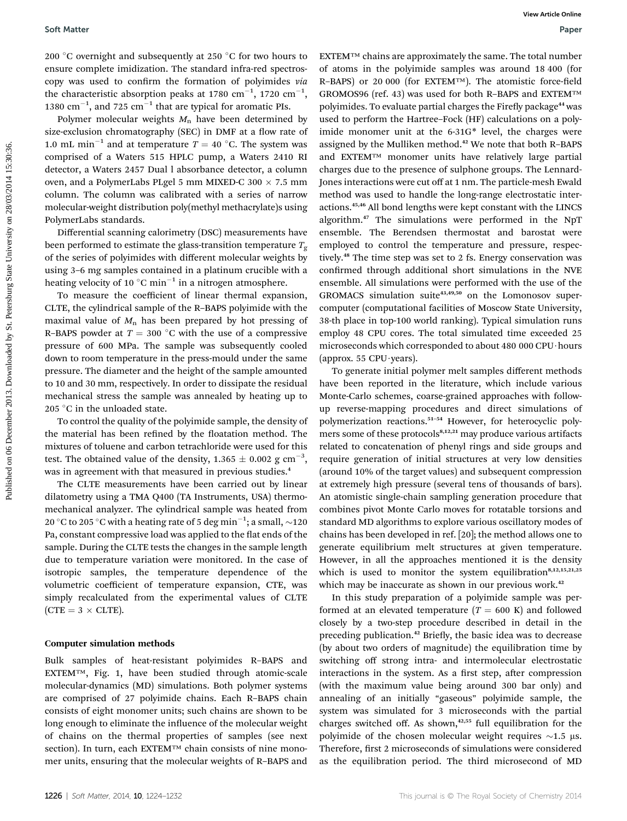200  $^{\circ} \mathrm{C}$  overnight and subsequently at 250  $^{\circ} \mathrm{C}$  for two hours to ensure complete imidization. The standard infra-red spectroscopy was used to confirm the formation of polyimides via the characteristic absorption peaks at 1780  $\mathrm{cm}^{-1}$ , 1720  $\mathrm{cm}^{-1}$ , 1380  $\text{cm}^{-1}$ , and 725  $\text{cm}^{-1}$  that are typical for aromatic PIs.

Polymer molecular weights  $M_n$  have been determined by size-exclusion chromatography (SEC) in DMF at a flow rate of 1.0 mL min<sup>-1</sup> and at temperature  $T = 40$  °C. The system was comprised of a Waters 515 HPLC pump, a Waters 2410 RI detector, a Waters 2457 Dual l absorbance detector, a column oven, and a PolymerLabs PLgel 5 mm MIXED-C 300  $\times$  7.5 mm column. The column was calibrated with a series of narrow molecular-weight distribution poly(methyl methacrylate)s using PolymerLabs standards.

Differential scanning calorimetry (DSC) measurements have been performed to estimate the glass-transition temperature  $T_g$ of the series of polyimides with different molecular weights by using 3–6 mg samples contained in a platinum crucible with a heating velocity of 10  $^{\circ}\textrm{C min}^{-1}$  in a nitrogen atmosphere.

To measure the coefficient of linear thermal expansion, CLTE, the cylindrical sample of the R–BAPS polyimide with the maximal value of  $M_n$  has been prepared by hot pressing of R–BAPS powder at  $T = 300$  °C with the use of a compressive pressure of 600 MPa. The sample was subsequently cooled down to room temperature in the press-mould under the same pressure. The diameter and the height of the sample amounted to 10 and 30 mm, respectively. In order to dissipate the residual mechanical stress the sample was annealed by heating up to 205  $^{\circ}$ C in the unloaded state.

To control the quality of the polyimide sample, the density of the material has been refined by the floatation method. The mixtures of toluene and carbon tetrachloride were used for this test. The obtained value of the density,  $1.365 \pm 0.002$   ${\rm g \ cm}^{-3}$ , was in agreement with that measured in previous studies.<sup>4</sup>

The CLTE measurements have been carried out by linear dilatometry using a TMA Q400 (TA Instruments, USA) thermomechanical analyzer. The cylindrical sample was heated from 20 °C to 205 °C with a heating rate of 5 deg min<sup>-1</sup>; a small,  $\sim$ 120 Pa, constant compressive load was applied to the flat ends of the sample. During the CLTE tests the changes in the sample length due to temperature variation were monitored. In the case of isotropic samples, the temperature dependence of the volumetric coefficient of temperature expansion, CTE, was simply recalculated from the experimental values of CLTE  $(CTE = 3 \times CLTE).$ 

#### Computer simulation methods

Bulk samples of heat-resistant polyimides R–BAPS and EXTEM™, Fig. 1, have been studied through atomic-scale molecular-dynamics (MD) simulations. Both polymer systems are comprised of 27 polyimide chains. Each R–BAPS chain consists of eight monomer units; such chains are shown to be long enough to eliminate the influence of the molecular weight of chains on the thermal properties of samples (see next section). In turn, each EXTEM™ chain consists of nine monomer units, ensuring that the molecular weights of R–BAPS and

EXTEM™ chains are approximately the same. The total number of atoms in the polyimide samples was around 18 400 (for R-BAPS) or 20 000 (for EXTEM™). The atomistic force-field GROMOS96 (ref. 43) was used for both R–BAPS and EXTEM™ polyimides. To evaluate partial charges the Firefly package<sup>44</sup> was used to perform the Hartree–Fock (HF) calculations on a polyimide monomer unit at the 6-31G\* level, the charges were assigned by the Mulliken method.<sup>42</sup> We note that both R–BAPS and EXTEM™ monomer units have relatively large partial charges due to the presence of sulphone groups. The Lennard-Jones interactions were cut off at 1 nm. The particle-mesh Ewald method was used to handle the long-range electrostatic interactions.45,46 All bond lengths were kept constant with the LINCS algorithm.<sup>47</sup> The simulations were performed in the NpT ensemble. The Berendsen thermostat and barostat were employed to control the temperature and pressure, respectively.<sup>48</sup> The time step was set to 2 fs. Energy conservation was confirmed through additional short simulations in the NVE ensemble. All simulations were performed with the use of the GROMACS simulation suite<sup>43,49,50</sup> on the Lomonosov supercomputer (computational facilities of Moscow State University, 38-th place in top-100 world ranking). Typical simulation runs employ 48 CPU cores. The total simulated time exceeded 25 microseconds which corresponded to about 480 000 CPU · hours (approx. 55 CPU $\cdot$ years). Soft Matter<br>
2013. One may be a complete that the contrast of the same of the same of the same of the same of the same of the same of the same of the same of the same of the same of the same of the same of the same of the

To generate initial polymer melt samples different methods have been reported in the literature, which include various Monte-Carlo schemes, coarse-grained approaches with followup reverse-mapping procedures and direct simulations of polymerization reactions.<sup>51</sup>–<sup>54</sup> However, for heterocyclic polymers some of these protocols<sup>8,12,21</sup> may produce various artifacts related to concatenation of phenyl rings and side groups and require generation of initial structures at very low densities (around 10% of the target values) and subsequent compression at extremely high pressure (several tens of thousands of bars). An atomistic single-chain sampling generation procedure that combines pivot Monte Carlo moves for rotatable torsions and standard MD algorithms to explore various oscillatory modes of chains has been developed in ref. [20]; the method allows one to generate equilibrium melt structures at given temperature. However, in all the approaches mentioned it is the density which is used to monitor the system equilibration<sup>8,12,15,21,25</sup> which may be inaccurate as shown in our previous work.<sup>42</sup>

In this study preparation of a polyimide sample was performed at an elevated temperature ( $T = 600$  K) and followed closely by a two-step procedure described in detail in the preceding publication.<sup>42</sup> Briefly, the basic idea was to decrease (by about two orders of magnitude) the equilibration time by switching off strong intra- and intermolecular electrostatic interactions in the system. As a first step, after compression (with the maximum value being around 300 bar only) and annealing of an initially "gaseous" polyimide sample, the system was simulated for 3 microseconds with the partial charges switched off. As shown, $42,55$  full equilibration for the polyimide of the chosen molecular weight requires  $\sim$ 1.5  $\mu$ s. Therefore, first 2 microseconds of simulations were considered as the equilibration period. The third microsecond of MD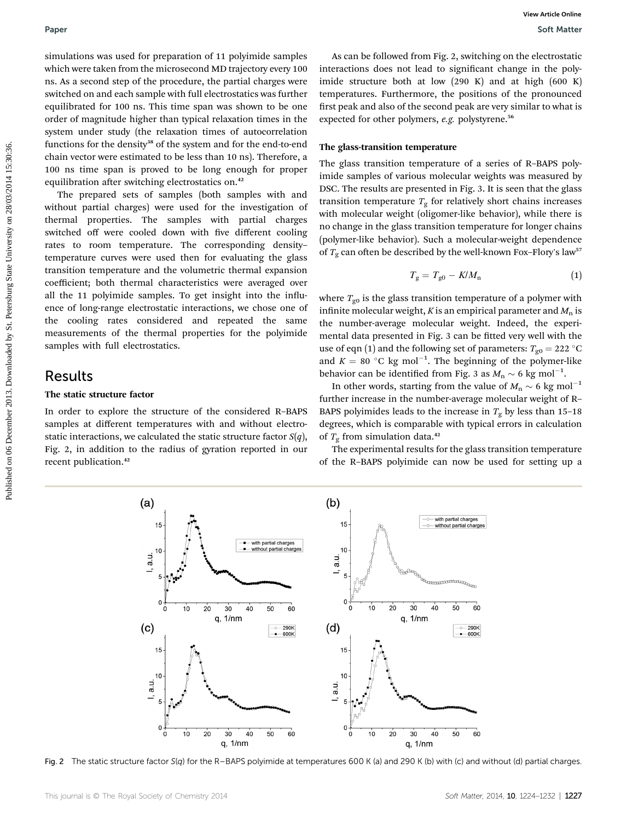simulations was used for preparation of 11 polyimide samples which were taken from the microsecond MD trajectory every 100 ns. As a second step of the procedure, the partial charges were switched on and each sample with full electrostatics was further equilibrated for 100 ns. This time span was shown to be one order of magnitude higher than typical relaxation times in the system under study (the relaxation times of autocorrelation functions for the density<sup>38</sup> of the system and for the end-to-end chain vector were estimated to be less than 10 ns). Therefore, a 100 ns time span is proved to be long enough for proper equilibration after switching electrostatics on.<sup>42</sup>

The prepared sets of samples (both samples with and without partial charges) were used for the investigation of thermal properties. The samples with partial charges switched off were cooled down with five different cooling rates to room temperature. The corresponding density– temperature curves were used then for evaluating the glass transition temperature and the volumetric thermal expansion coefficient; both thermal characteristics were averaged over all the 11 polyimide samples. To get insight into the influence of long-range electrostatic interactions, we chose one of the cooling rates considered and repeated the same measurements of the thermal properties for the polyimide samples with full electrostatics. **Published on 10** December 2013. Download by the continent of the properties on the properties of the properties on the continent of the properties on the continent of the properties on the continent of the properties on

## Results

## The static structure factor

In order to explore the structure of the considered R–BAPS samples at different temperatures with and without electrostatic interactions, we calculated the static structure factor  $S(q)$ , Fig. 2, in addition to the radius of gyration reported in our recent publication.<sup>42</sup>

As can be followed from Fig. 2, switching on the electrostatic interactions does not lead to significant change in the polyimide structure both at low (290 K) and at high (600 K) temperatures. Furthermore, the positions of the pronounced first peak and also of the second peak are very similar to what is expected for other polymers, e.g. polystyrene.<sup>56</sup>

### The glass-transition temperature

The glass transition temperature of a series of R–BAPS polyimide samples of various molecular weights was measured by DSC. The results are presented in Fig. 3. It is seen that the glass transition temperature  $T_g$  for relatively short chains increases with molecular weight (oligomer-like behavior), while there is no change in the glass transition temperature for longer chains (polymer-like behavior). Such a molecular-weight dependence of  $T<sub>g</sub>$  can often be described by the well-known Fox–Flory's law<sup>57</sup>

$$
T_{\rm g} = T_{\rm g0} - K/M_{\rm n} \tag{1}
$$

where  $T_{\text{g0}}$  is the glass transition temperature of a polymer with infinite molecular weight,  $K$  is an empirical parameter and  $M_n$  is the number-average molecular weight. Indeed, the experimental data presented in Fig. 3 can be fitted very well with the use of eqn (1) and the following set of parameters:  $T_{\text{g0}} = 222 \text{ }^{\circ}\text{C}$ and  $K = 80$  °C kg mol<sup>-1</sup>. The beginning of the polymer-like behavior can be identified from Fig. 3 as  $M_n \sim 6 \text{ kg mol}^{-1}$ .

In other words, starting from the value of  $M_n \sim 6$  kg mol<sup>-1</sup> further increase in the number-average molecular weight of R– BAPS polyimides leads to the increase in  $T_g$  by less than 15–18 degrees, which is comparable with typical errors in calculation of  $T_{\rm g}$  from simulation data.<sup>42</sup>

The experimental results for the glass transition temperature of the R–BAPS polyimide can now be used for setting up a



Fig. 2 The static structure factor S(q) for the R–BAPS polyimide at temperatures 600 K (a) and 290 K (b) with (c) and without (d) partial charges.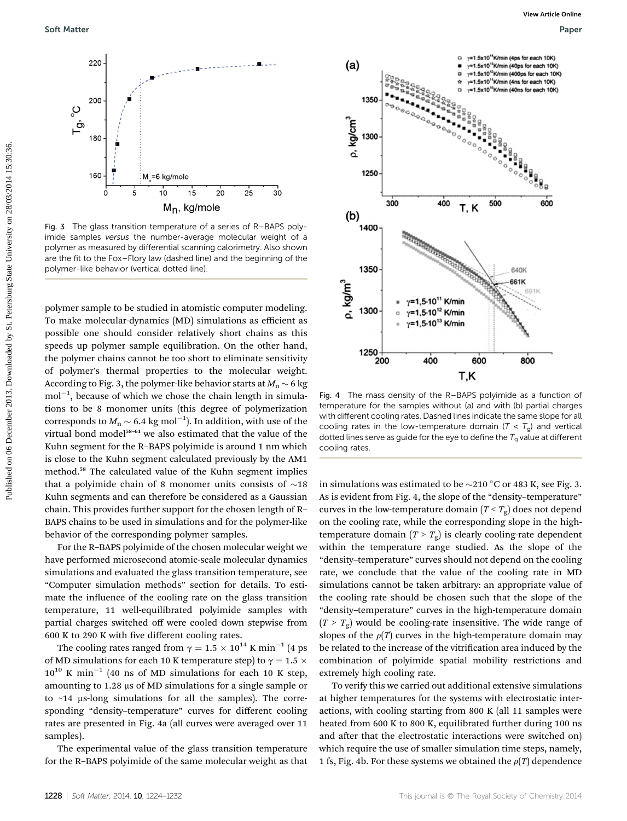

Fig. 3 The glass transition temperature of a series of R–BAPS polyimide samples versus the number-average molecular weight of a polymer as measured by differential scanning calorimetry. Also shown are the fit to the Fox–Flory law (dashed line) and the beginning of the polymer-like behavior (vertical dotted line).

polymer sample to be studied in atomistic computer modeling. To make molecular-dynamics (MD) simulations as efficient as possible one should consider relatively short chains as this speeds up polymer sample equilibration. On the other hand, the polymer chains cannot be too short to eliminate sensitivity of polymer's thermal properties to the molecular weight. According to Fig. 3, the polymer-like behavior starts at  $M_n \sim 6$  kg  $mol^{-1}$ , because of which we chose the chain length in simulations to be 8 monomer units (this degree of polymerization corresponds to  $M_{\rm n}$   $\sim$  6.4 kg mol<sup>-1</sup>). In addition, with use of the virtual bond model<sup>58-61</sup> we also estimated that the value of the Kuhn segment for the R–BAPS polyimide is around 1 nm which is close to the Kuhn segment calculated previously by the AM1 method.<sup>58</sup> The calculated value of the Kuhn segment implies that a polyimide chain of 8 monomer units consists of  $\sim$ 18 Kuhn segments and can therefore be considered as a Gaussian chain. This provides further support for the chosen length of R– BAPS chains to be used in simulations and for the polymer-like behavior of the corresponding polymer samples.

For the R–BAPS polyimide of the chosen molecular weight we have performed microsecond atomic-scale molecular dynamics simulations and evaluated the glass transition temperature, see "Computer simulation methods" section for details. To estimate the influence of the cooling rate on the glass transition temperature, 11 well-equilibrated polyimide samples with partial charges switched off were cooled down stepwise from 600 K to 290 K with five different cooling rates.

The cooling rates ranged from  $\gamma = 1.5 \times 10^{14}$  K min<sup>-1</sup> (4 ps of MD simulations for each 10 K temperature step) to  $\gamma = 1.5 \times$  $10^{10}$  K min<sup>-1</sup> (40 ns of MD simulations for each 10 K step, amounting to  $1.28 \mu s$  of MD simulations for a single sample or to  $~14$  µs-long simulations for all the samples). The corresponding "density–temperature" curves for different cooling rates are presented in Fig. 4a (all curves were averaged over 11 samples).

The experimental value of the glass transition temperature for the R–BAPS polyimide of the same molecular weight as that



Fig. 4 The mass density of the R–BAPS polyimide as a function of temperature for the samples without (a) and with (b) partial charges with different cooling rates. Dashed lines indicate the same slope for all cooling rates in the low-temperature domain ( $T < T<sub>g</sub>$ ) and vertical dotted lines serve as guide for the eye to define the  $T<sub>g</sub>$  value at different cooling rates.

in simulations was estimated to be  $\sim$ 210 °C or 483 K, see Fig. 3. As is evident from Fig. 4, the slope of the "density–temperature" curves in the low-temperature domain  $(T < T_{\varphi})$  does not depend on the cooling rate, while the corresponding slope in the hightemperature domain  $(T > T_g)$  is clearly cooling-rate dependent within the temperature range studied. As the slope of the "density–temperature" curves should not depend on the cooling rate, we conclude that the value of the cooling rate in MD simulations cannot be taken arbitrary: an appropriate value of the cooling rate should be chosen such that the slope of the "density–temperature" curves in the high-temperature domain  $(T > T<sub>g</sub>)$  would be cooling-rate insensitive. The wide range of slopes of the  $\rho(T)$  curves in the high-temperature domain may be related to the increase of the vitrification area induced by the combination of polyimide spatial mobility restrictions and extremely high cooling rate.

To verify this we carried out additional extensive simulations at higher temperatures for the systems with electrostatic interactions, with cooling starting from 800 K (all 11 samples were heated from 600 K to 800 K, equilibrated further during 100 ns and after that the electrostatic interactions were switched on) which require the use of smaller simulation time steps, namely, 1 fs, Fig. 4b. For these systems we obtained the  $\rho(T)$  dependence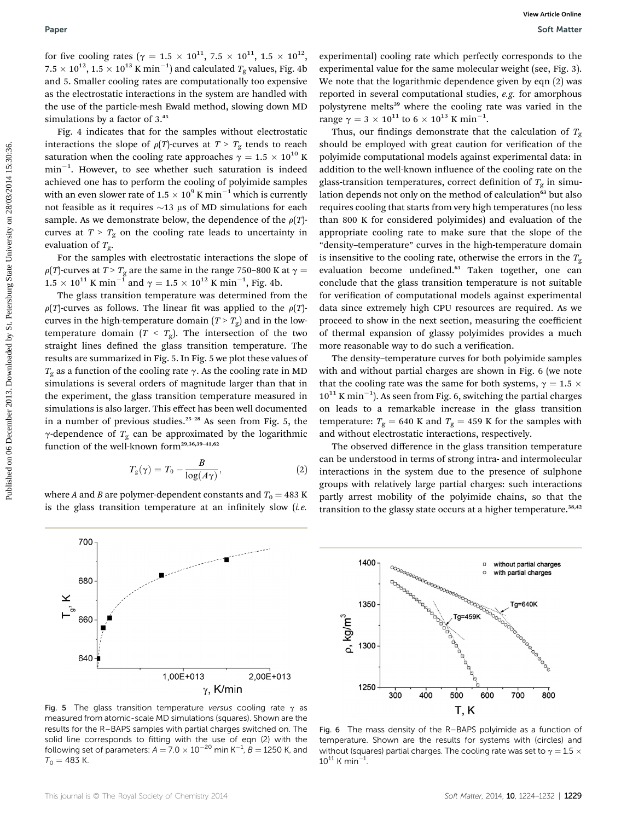for five cooling rates ( $\gamma = 1.5 \times 10^{11}$ , 7.5  $\times 10^{11}$ , 1.5  $\times 10^{12}$ ,  $7.5 \times 10^{12}, 1.5 \times 10^{13}$  K  $\rm{min}^{-1})$  and calculated  $T_{\rm g}$  values, Fig. 4b and 5. Smaller cooling rates are computationally too expensive as the electrostatic interactions in the system are handled with the use of the particle-mesh Ewald method, slowing down MD simulations by a factor of  $3.^{45}$ 

Fig. 4 indicates that for the samples without electrostatic interactions the slope of  $\rho(T)$ -curves at  $T > T_g$  tends to reach saturation when the cooling rate approaches  $\gamma = 1.5 \times 10^{10}$  K  $min^{-1}$ . However, to see whether such saturation is indeed achieved one has to perform the cooling of polyimide samples with an even slower rate of  $1.5 \times 10^9$  K min<sup>-1</sup> which is currently not feasible as it requires  $\sim$ 13 µs of MD simulations for each sample. As we demonstrate below, the dependence of the  $\rho(T)$ curves at  $T > T_g$  on the cooling rate leads to uncertainty in evaluation of  $T_{\varrho}$ .

For the samples with electrostatic interactions the slope of  $\rho(T)$ -curves at  $T > T_g$  are the same in the range 750–800 K at  $\gamma =$  $1.5 \times 10^{11}$  K min<sup>-1</sup> and  $\gamma = 1.5 \times 10^{12}$  K min<sup>-1</sup>, Fig. 4b.<br>The glace transition temperature was determined from

The glass transition temperature was determined from the  $\rho(T)$ -curves as follows. The linear fit was applied to the  $\rho(T)$ curves in the high-temperature domain  $(T > T_g)$  and in the lowtemperature domain  $(T < T_g)$ . The intersection of the two straight lines defined the glass transition temperature. The results are summarized in Fig. 5. In Fig. 5 we plot these values of  $T_g$  as a function of the cooling rate  $\gamma$ . As the cooling rate in MD simulations is several orders of magnitude larger than that in the experiment, the glass transition temperature measured in simulations is also larger. This effect has been well documented in a number of previous studies.<sup>25</sup>–<sup>28</sup> As seen from Fig. 5, the  $\gamma$ -dependence of  $T_g$  can be approximated by the logarithmic function of the well-known form<sup>29,36,39-41,62</sup>

$$
T_g(\gamma) = T_0 - \frac{B}{\log(A\gamma)},\tag{2}
$$

where A and B are polymer-dependent constants and  $T_0 = 483$  K is the glass transition temperature at an infinitely slow  $(i.e.$ 

700

680

660

640

 $\times$ 

experimental) cooling rate which perfectly corresponds to the experimental value for the same molecular weight (see, Fig. 3). We note that the logarithmic dependence given by eqn (2) was reported in several computational studies, e.g. for amorphous polystyrene melts<sup>39</sup> where the cooling rate was varied in the range  $\gamma = 3 \times 10^{11}$  to  $6 \times 10^{13}$  K min<sup>-1</sup>.<br>Thus, our findings demonstrate that

Thus, our findings demonstrate that the calculation of  $T_g$ should be employed with great caution for verification of the polyimide computational models against experimental data: in addition to the well-known influence of the cooling rate on the glass-transition temperatures, correct definition of  $T_g$  in simulation depends not only on the method of calculation<sup>63</sup> but also requires cooling that starts from very high temperatures (no less than 800 K for considered polyimides) and evaluation of the appropriate cooling rate to make sure that the slope of the "density–temperature" curves in the high-temperature domain is insensitive to the cooling rate, otherwise the errors in the  $T_{\gamma}$ evaluation become undefined.<sup>63</sup> Taken together, one can conclude that the glass transition temperature is not suitable for verification of computational models against experimental data since extremely high CPU resources are required. As we proceed to show in the next section, measuring the coefficient of thermal expansion of glassy polyimides provides a much more reasonable way to do such a verification. **Puer West Cass to**  $\sim$  **15.**  $\times$  10<sup>2</sup>, 15.  $\times$  10<sup>2</sup>, 15.  $\times$  10<sup>2</sup>, expressed by State University on December 2013. Download by State University of the University of Cass Case University of Case University of Case Un

The density–temperature curves for both polyimide samples with and without partial charges are shown in Fig. 6 (we note that the cooling rate was the same for both systems,  $\gamma = 1.5 \times$  $10^{11}$  K min<sup>-1</sup>). As seen from Fig. 6, switching the partial charges on leads to a remarkable increase in the glass transition temperature:  $T_{\rm g}$  = 640 K and  $T_{\rm g}$  = 459 K for the samples with and without electrostatic interactions, respectively.

The observed difference in the glass transition temperature can be understood in terms of strong intra- and intermolecular interactions in the system due to the presence of sulphone groups with relatively large partial charges: such interactions partly arrest mobility of the polyimide chains, so that the transition to the glassy state occurs at a higher temperature.<sup>38,42</sup>



1400

1350

1300

1250

p, kg/m<sup>3</sup>

Fig. 5 The glass transition temperature versus cooling rate  $\gamma$  as measured from atomic-scale MD simulations (squares). Shown are the results for the R–BAPS samples with partial charges switched on. The solid line corresponds to fitting with the use of eqn (2) with the following set of parameters:  $A = 7.0 \times 10^{-20}$  min K<sup>-1</sup>, B = 1250 K, and  $T_0 = 483$  K.

1,00E+013

 $\gamma$ , K/min

2,00E+013

This journal is © The Royal Society of Chemistry 2014 Soft Matter, 2014, 10, 1224–1232 | 1229

without partial charges

with partial charges

Tg=640K

acocodores

 $\Box$ 

Ta=459K

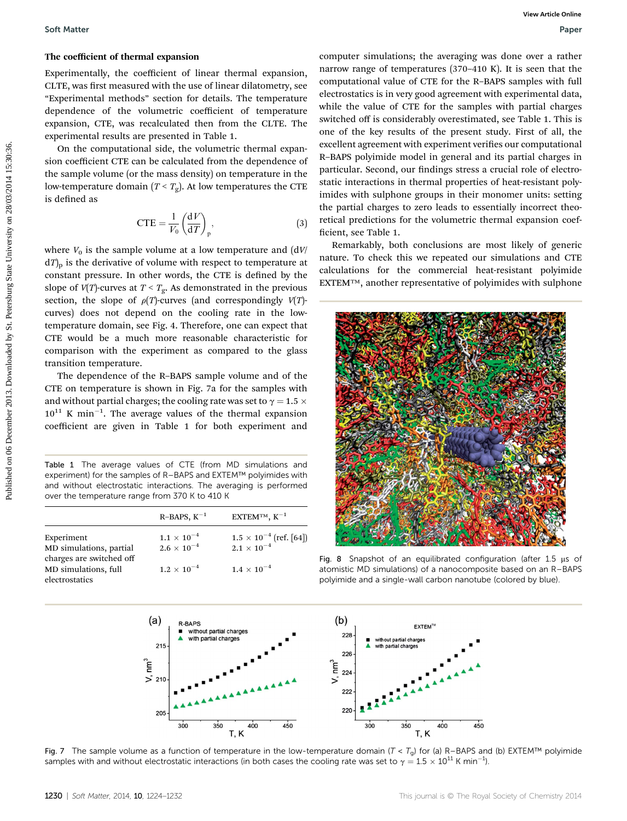#### The coefficient of thermal expansion

Experimentally, the coefficient of linear thermal expansion, CLTE, was first measured with the use of linear dilatometry, see "Experimental methods" section for details. The temperature dependence of the volumetric coefficient of temperature expansion, CTE, was recalculated then from the CLTE. The experimental results are presented in Table 1.

On the computational side, the volumetric thermal expansion coefficient CTE can be calculated from the dependence of the sample volume (or the mass density) on temperature in the low-temperature domain  $(T < T_g)$ . At low temperatures the CTE is defined as

$$
CTE = \frac{1}{V_0} \left(\frac{dV}{dT}\right)_p, \tag{3}
$$

where  $V_0$  is the sample volume at a low temperature and  $(dV/$  $dT$ <sub>p</sub> is the derivative of volume with respect to temperature at constant pressure. In other words, the CTE is defined by the slope of  $V(T)$ -curves at  $T < T_g$ . As demonstrated in the previous section, the slope of  $\rho(T)$ -curves (and correspondingly  $V(T)$ curves) does not depend on the cooling rate in the lowtemperature domain, see Fig. 4. Therefore, one can expect that CTE would be a much more reasonable characteristic for comparison with the experiment as compared to the glass transition temperature.

The dependence of the R–BAPS sample volume and of the CTE on temperature is shown in Fig. 7a for the samples with and without partial charges; the cooling rate was set to  $\gamma = 1.5 \times$  $10^{11}$  K min<sup>-1</sup>. The average values of the thermal expansion coefficient are given in Table 1 for both experiment and

Table 1 The average values of CTE (from MD simulations and experiment) for the samples of R–BAPS and EXTEM™ polyimides with and without electrostatic interactions. The averaging is performed over the temperature range from 370 K to 410 K

|                                                     | $R$ -BAPS, $K^{-1}$  | EXTEMTM, $K^{-1}$                                               |
|-----------------------------------------------------|----------------------|-----------------------------------------------------------------|
| Experiment                                          | $1.1 \times 10^{-4}$ | $1.5\times10^{-4}\:\mathrm{(ref.\,[64])}$<br>$2.1\times10^{-4}$ |
| MD simulations, partial<br>charges are switched off | $2.6 \times 10^{-4}$ |                                                                 |
| MD simulations, full<br>electrostatics              | $1.2 \times 10^{-4}$ | $1.4 \times 10^{-4}$                                            |

computer simulations; the averaging was done over a rather narrow range of temperatures (370–410 K). It is seen that the computational value of CTE for the R–BAPS samples with full electrostatics is in very good agreement with experimental data, while the value of CTE for the samples with partial charges switched off is considerably overestimated, see Table 1. This is one of the key results of the present study. First of all, the excellent agreement with experiment verifies our computational R–BAPS polyimide model in general and its partial charges in particular. Second, our findings stress a crucial role of electrostatic interactions in thermal properties of heat-resistant polyimides with sulphone groups in their monomer units: setting the partial charges to zero leads to essentially incorrect theoretical predictions for the volumetric thermal expansion coef ficient, see Table 1.

Remarkably, both conclusions are most likely of generic nature. To check this we repeated our simulations and CTE calculations for the commercial heat-resistant polyimide EXTEM™, another representative of polyimides with sulphone



Fig. 8 Snapshot of an equilibrated configuration (after 1.5  $\mu$ s of atomistic MD simulations) of a nanocomposite based on an R–BAPS polyimide and a single-wall carbon nanotube (colored by blue).



Fig. 7 The sample volume as a function of temperature in the low-temperature domain ( $T < T_g$ ) for (a) R-BAPS and (b) EXTEM™ polyimide samples with and without electrostatic interactions (in both cases the cooling rate was set to  $\gamma = 1.5 \times 10^{11}$  K min<sup>-1</sup>).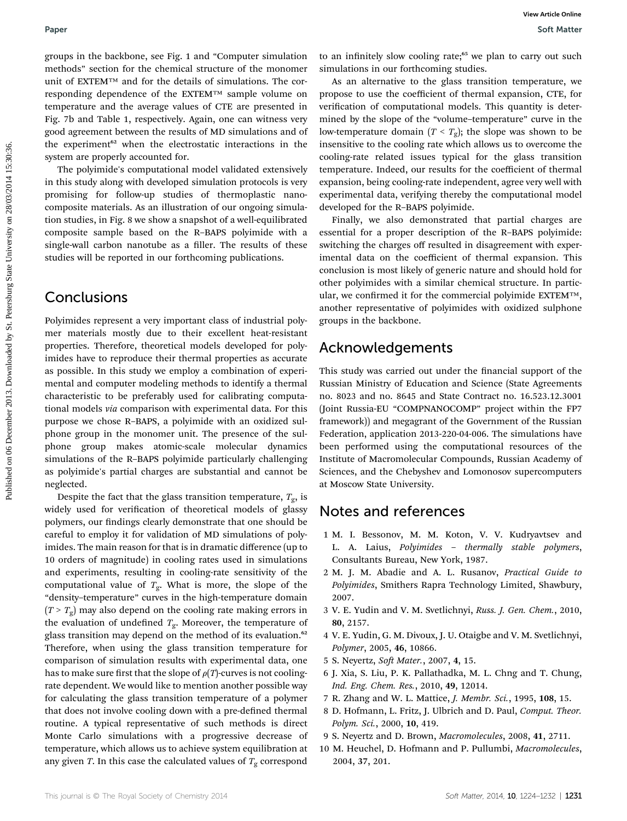groups in the backbone, see Fig. 1 and "Computer simulation methods" section for the chemical structure of the monomer unit of EXTEM™ and for the details of simulations. The corresponding dependence of the EXTEM™ sample volume on temperature and the average values of CTE are presented in Fig. 7b and Table 1, respectively. Again, one can witness very good agreement between the results of MD simulations and of the experiment<sup>62</sup> when the electrostatic interactions in the system are properly accounted for.

The polyimide's computational model validated extensively in this study along with developed simulation protocols is very promising for follow-up studies of thermoplastic nanocomposite materials. As an illustration of our ongoing simulation studies, in Fig. 8 we show a snapshot of a well-equilibrated composite sample based on the R–BAPS polyimide with a single-wall carbon nanotube as a filler. The results of these studies will be reported in our forthcoming publications.

# **Conclusions**

Polyimides represent a very important class of industrial polymer materials mostly due to their excellent heat-resistant properties. Therefore, theoretical models developed for polyimides have to reproduce their thermal properties as accurate as possible. In this study we employ a combination of experimental and computer modeling methods to identify a thermal characteristic to be preferably used for calibrating computational models via comparison with experimental data. For this purpose we chose R–BAPS, a polyimide with an oxidized sulphone group in the monomer unit. The presence of the sulphone group makes atomic-scale molecular dynamics simulations of the R–BAPS polyimide particularly challenging as polyimide's partial charges are substantial and cannot be neglected. **Puer West State on 06 December 2013.** Set we consider the published on 06 December 2013. Download and the properties the respectively. Again the properties the set of the set of the set of the set of the set of the set of

Despite the fact that the glass transition temperature,  $T_{\text{g}}$ , is widely used for verification of theoretical models of glassy polymers, our findings clearly demonstrate that one should be careful to employ it for validation of MD simulations of polyimides. The main reason for that is in dramatic difference (up to 10 orders of magnitude) in cooling rates used in simulations and experiments, resulting in cooling-rate sensitivity of the computational value of  $T_{\rm g}$ . What is more, the slope of the "density–temperature" curves in the high-temperature domain  $(T > T<sub>g</sub>)$  may also depend on the cooling rate making errors in the evaluation of undefined  $T_{\rm g}$ . Moreover, the temperature of glass transition may depend on the method of its evaluation.<sup>62</sup> Therefore, when using the glass transition temperature for comparison of simulation results with experimental data, one has to make sure first that the slope of  $\rho(T)$ -curves is not coolingrate dependent. We would like to mention another possible way for calculating the glass transition temperature of a polymer that does not involve cooling down with a pre-defined thermal routine. A typical representative of such methods is direct Monte Carlo simulations with a progressive decrease of temperature, which allows us to achieve system equilibration at any given T. In this case the calculated values of  $T_{\rm g}$  correspond

to an infinitely slow cooling rate;<sup>65</sup> we plan to carry out such simulations in our forthcoming studies.

As an alternative to the glass transition temperature, we propose to use the coefficient of thermal expansion, CTE, for verification of computational models. This quantity is determined by the slope of the "volume–temperature" curve in the low-temperature domain  $(T < T_g)$ ; the slope was shown to be insensitive to the cooling rate which allows us to overcome the cooling-rate related issues typical for the glass transition temperature. Indeed, our results for the coefficient of thermal expansion, being cooling-rate independent, agree very well with experimental data, verifying thereby the computational model developed for the R–BAPS polyimide.

Finally, we also demonstrated that partial charges are essential for a proper description of the R–BAPS polyimide: switching the charges off resulted in disagreement with experimental data on the coefficient of thermal expansion. This conclusion is most likely of generic nature and should hold for other polyimides with a similar chemical structure. In particular, we confirmed it for the commercial polyimide EXTEM™, another representative of polyimides with oxidized sulphone groups in the backbone.

# Acknowledgements

This study was carried out under the financial support of the Russian Ministry of Education and Science (State Agreements no. 8023 and no. 8645 and State Contract no. 16.523.12.3001 (Joint Russia-EU "COMPNANOCOMP" project within the FP7 framework)) and megagrant of the Government of the Russian Federation, application 2013-220-04-006. The simulations have been performed using the computational resources of the Institute of Macromolecular Compounds, Russian Academy of Sciences, and the Chebyshev and Lomonosov supercomputers at Moscow State University.

# Notes and references

- 1 M. I. Bessonov, M. M. Koton, V. V. Kudryavtsev and L. A. Laius, Polyimides – thermally stable polymers, Consultants Bureau, New York, 1987.
- 2 M. J. M. Abadie and A. L. Rusanov, Practical Guide to Polyimides, Smithers Rapra Technology Limited, Shawbury, 2007.
- 3 V. E. Yudin and V. M. Svetlichnyi, Russ. J. Gen. Chem., 2010, 80, 2157.
- 4 V. E. Yudin, G. M. Divoux, J. U. Otaigbe and V. M. Svetlichnyi, Polymer, 2005, 46, 10866.
- 5 S. Neyertz, Soft Mater., 2007, 4, 15.
- 6 J. Xia, S. Liu, P. K. Pallathadka, M. L. Chng and T. Chung, Ind. Eng. Chem. Res., 2010, 49, 12014.
- 7 R. Zhang and W. L. Mattice, J. Membr. Sci., 1995, 108, 15.
- 8 D. Hofmann, L. Fritz, J. Ulbrich and D. Paul, Comput. Theor. Polym. Sci., 2000, 10, 419.
- 9 S. Neyertz and D. Brown, Macromolecules, 2008, 41, 2711.
- 10 M. Heuchel, D. Hofmann and P. Pullumbi, Macromolecules, 2004, 37, 201.